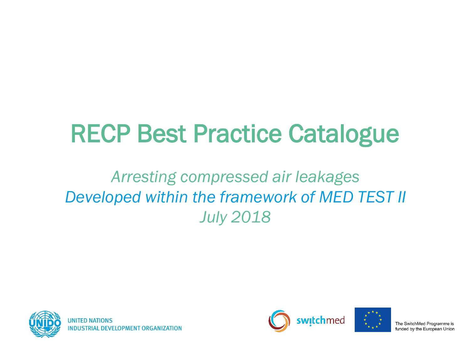# RECP Best Practice Catalogue

#### *Arresting compressed air leakages Developed within the framework of MED TEST II July 2018*





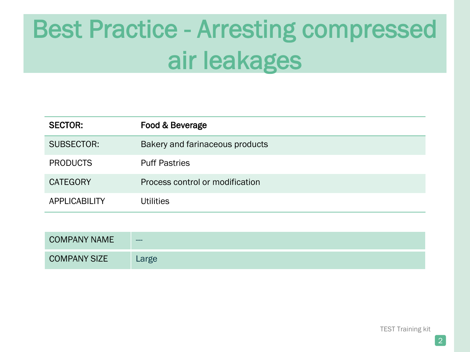| <b>SECTOR:</b>       | Food & Beverage                 |
|----------------------|---------------------------------|
| SUBSECTOR:           | Bakery and farinaceous products |
| <b>PRODUCTS</b>      | <b>Puff Pastries</b>            |
| <b>CATEGORY</b>      | Process control or modification |
| <b>APPLICABILITY</b> | <b>Utilities</b>                |

| <b>COMPANY NAME</b> | ---   |
|---------------------|-------|
| <b>COMPANY SIZE</b> | Large |

TEST Training kit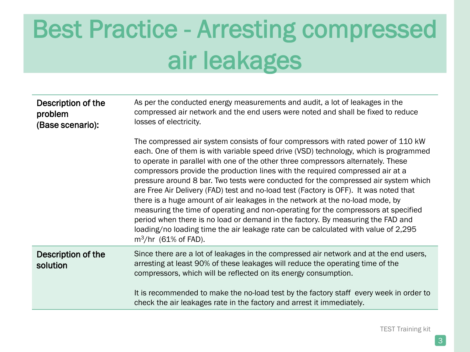| Description of the<br>problem<br>(Base scenario): | As per the conducted energy measurements and audit, a lot of leakages in the<br>compressed air network and the end users were noted and shall be fixed to reduce<br>losses of electricity.                                                                                                                                                                                                                                                                                                                                                                                                                                                                                                                                                                                                                                                                                                                 |
|---------------------------------------------------|------------------------------------------------------------------------------------------------------------------------------------------------------------------------------------------------------------------------------------------------------------------------------------------------------------------------------------------------------------------------------------------------------------------------------------------------------------------------------------------------------------------------------------------------------------------------------------------------------------------------------------------------------------------------------------------------------------------------------------------------------------------------------------------------------------------------------------------------------------------------------------------------------------|
|                                                   | The compressed air system consists of four compressors with rated power of 110 kW<br>each. One of them is with variable speed drive (VSD) technology, which is programmed<br>to operate in parallel with one of the other three compressors alternately. These<br>compressors provide the production lines with the required compressed air at a<br>pressure around 8 bar. Two tests were conducted for the compressed air system which<br>are Free Air Delivery (FAD) test and no-load test (Factory is OFF). It was noted that<br>there is a huge amount of air leakages in the network at the no-load mode, by<br>measuring the time of operating and non-operating for the compressors at specified<br>period when there is no load or demand in the factory. By measuring the FAD and<br>loading/no loading time the air leakage rate can be calculated with value of 2,295<br>$m^3/hr$ (61% of FAD). |
| Description of the<br>solution                    | Since there are a lot of leakages in the compressed air network and at the end users,<br>arresting at least 90% of these leakages will reduce the operating time of the<br>compressors, which will be reflected on its energy consumption.<br>It is recommended to make the no-load test by the factory staff every week in order to<br>check the air leakages rate in the factory and arrest it immediately.                                                                                                                                                                                                                                                                                                                                                                                                                                                                                              |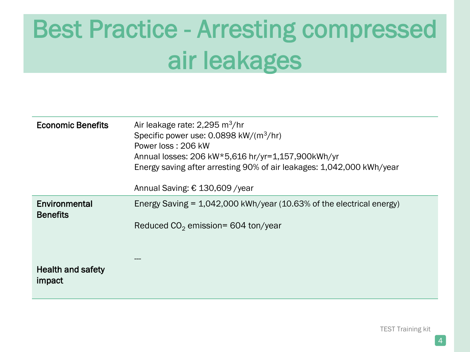| <b>Economic Benefits</b>           | Air leakage rate: $2,295 \text{ m}^3/\text{hr}$<br>Specific power use: $0.0898 \text{ kW/(m}^3/\text{hr})$<br>Power loss: 206 kW<br>Annual losses: 206 kW*5,616 hr/yr=1,157,900kWh/yr<br>Energy saving after arresting 90% of air leakages: 1,042,000 kWh/year<br>Annual Saving: € 130,609 / year |
|------------------------------------|---------------------------------------------------------------------------------------------------------------------------------------------------------------------------------------------------------------------------------------------------------------------------------------------------|
| Environmental<br><b>Benefits</b>   | Energy Saving $= 1,042,000$ kWh/year (10.63% of the electrical energy)<br>Reduced $CO2$ emission= 604 ton/year                                                                                                                                                                                    |
| <b>Health and safety</b><br>impact |                                                                                                                                                                                                                                                                                                   |